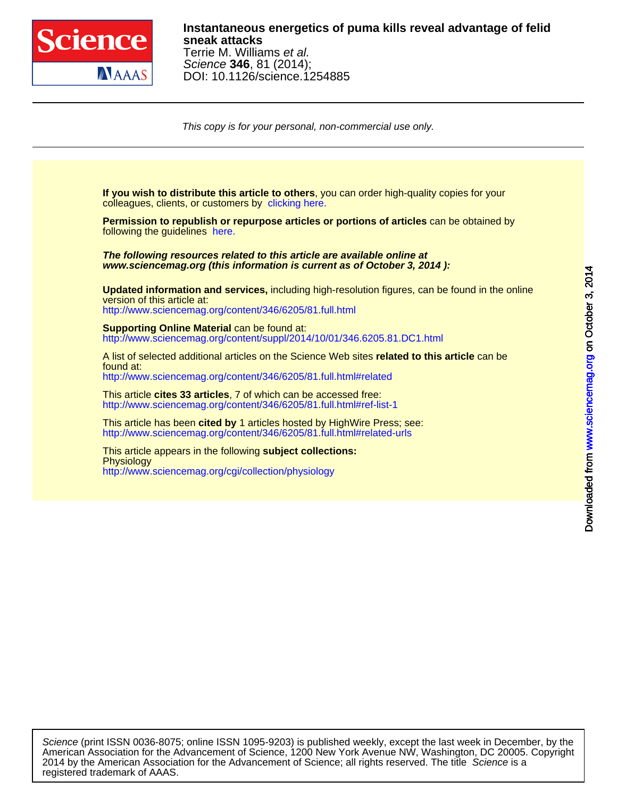

# DOI: 10.1126/science.1254885 Science **346**, 81 (2014); Terrie M. Williams et al. **sneak attacks Instantaneous energetics of puma kills reveal advantage of felid**

This copy is for your personal, non-commercial use only.

colleagues, clients, or customers by [clicking here.](http://www.sciencemag.org/about/permissions.dtl) **If you wish to distribute this article to others**, you can order high-quality copies for your following the guidelines [here.](http://www.sciencemag.org/about/permissions.dtl) **Permission to republish or repurpose articles or portions of articles** can be obtained by **www.sciencemag.org (this information is current as of October 3, 2014 ): The following resources related to this article are available online at** <http://www.sciencemag.org/content/346/6205/81.full.html> version of this article at: **Updated information and services,** including high-resolution figures, can be found in the online [http://www.sciencemag.org/content/suppl/2014/10/01/346.6205.81.DC1.html](http://www.sciencemag.org/content/suppl/2014/10/01/346.6205.81.DC1.html )  **Supporting Online Material can be found at:** <http://www.sciencemag.org/content/346/6205/81.full.html#related> found at: A list of selected additional articles on the Science Web sites **related to this article** can be <http://www.sciencemag.org/content/346/6205/81.full.html#ref-list-1> This article **cites 33 articles**, 7 of which can be accessed free: <http://www.sciencemag.org/content/346/6205/81.full.html#related-urls> This article has been **cited by** 1 articles hosted by HighWire Press; see: <http://www.sciencemag.org/cgi/collection/physiology> **Physiology** This article appears in the following **subject collections:**

registered trademark of AAAS. 2014 by the American Association for the Advancement of Science; all rights reserved. The title Science is a American Association for the Advancement of Science, 1200 New York Avenue NW, Washington, DC 20005. Copyright Science (print ISSN 0036-8075; online ISSN 1095-9203) is published weekly, except the last week in December, by the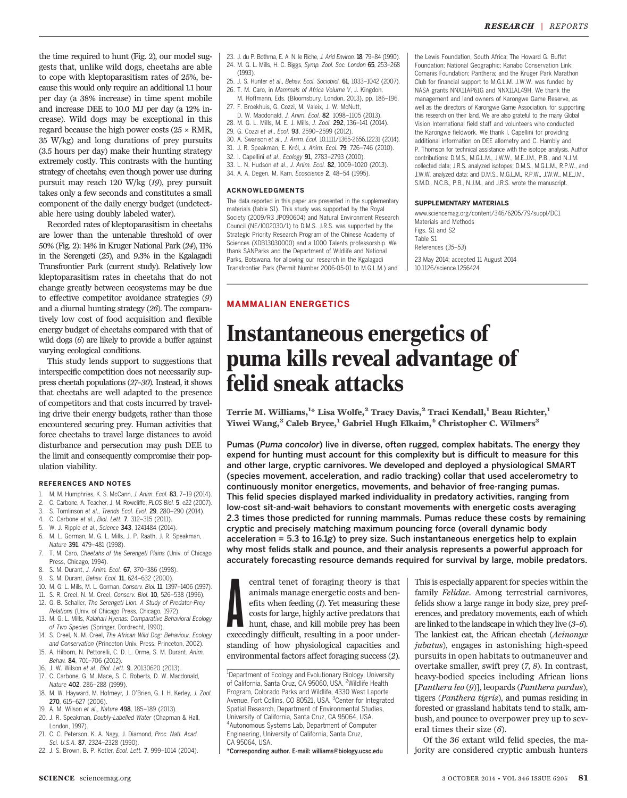the time required to hunt (Fig. 2), our model suggests that, unlike wild dogs, cheetahs are able to cope with kleptoparasitism rates of 25%, because this would only require an additional 1.1 hour per day (a 38% increase) in time spent mobile and increase DEE to 10.0 MJ per day (a 12% increase). Wild dogs may be exceptional in this regard because the high power costs ( $25 \times RMR$ , 35 W/kg) and long durations of prey pursuits (3.5 hours per day) make their hunting strategy extremely costly. This contrasts with the hunting strategy of cheetahs; even though power use during pursuit may reach 120 W/kg (19), prey pursuit takes only a few seconds and constitutes a small component of the daily energy budget (undetectable here using doubly labeled water).

Recorded rates of kleptoparasitism in cheetahs are lower than the untenable threshold of over 50% (Fig. 2): 14% in Kruger National Park (24), 11% in the Serengeti (25), and 9.3% in the Kgalagadi Transfrontier Park (current study). Relatively low kleptoparasitism rates in cheetahs that do not change greatly between ecosystems may be due to effective competitor avoidance strategies (9) and a diurnal hunting strategy (26). The comparatively low cost of food acquisition and flexible energy budget of cheetahs compared with that of wild dogs (6) are likely to provide a buffer against varying ecological conditions.

This study lends support to suggestions that interspecific competition does not necessarily suppress cheetah populations (27–30). Instead, it shows that cheetahs are well adapted to the presence of competitors and that costs incurred by traveling drive their energy budgets, rather than those encountered securing prey. Human activities that force cheetahs to travel large distances to avoid disturbance and persecution may push DEE to the limit and consequently compromise their population viability.

### REFERENCES AND NOTES

- 1. M. M. Humphries, K. S. McCann, J. Anim. Ecol. 83, 7–19 (2014).
- 2. C. Carbone, A. Teacher, J. M. Rowcliffe, PLOS Biol. 5, e22 (2007).
- 3. S. Tomlinson et al., Trends Ecol. Evol. 29, 280–290 (2014).
- 4. C. Carbone et al., Biol. Lett. 7, 312–315 (2011).
- 5. W. J. Ripple et al., Science 343, 1241484 (2014). 6. M. L. Gorman, M. G. L. Mills, J. P. Raath, J. R. Speakman,
- Nature 391, 479–481 (1998).
- 7. T. M. Caro, Cheetahs of the Serengeti Plains (Univ. of Chicago Press, Chicago, 1994).
- 8. S. M. Durant, J. Anim. Ecol. 67, 370–386 (1998).
- 9. S. M. Durant, Behav. Ecol. 11, 624–632 (2000).
- 10. M. G. L. Mills, M. L. Gorman, Conserv. Biol. 11, 1397–1406 (1997).
- 11. S. R. Creel, N. M. Creel, Conserv. Biol. 10, 526–538 (1996). 12. G. B. Schaller, The Serengeti Lion. A Study of Predator-Prey
- Relations (Univ. of Chicago Press, Chicago, 1972). 13. M. G. L. Mills, Kalahari Hyenas: Comparative Behavioral Ecology
- of Two Species (Springer, Dordrecht, 1990). 14. S. Creel, N. M. Creel, The African Wild Dog: Behaviour, Ecology
- and Conservation (Princeton Univ. Press, Princeton, 2002). 15. A. Hilborn, N. Pettorelli, C. D. L. Orme, S. M. Durant, Anim.
- Behav. 84, 701–706 (2012). 16. J. W. Wilson et al., Biol. Lett. 9, 20130620 (2013).
- 17. C. Carbone, G. M. Mace, S. C. Roberts, D. W. Macdonald,
- Nature 402, 286–288 (1999). 18. M. W. Hayward, M. Hofmeyr, J. O'Brien, G. I. H. Kerley, J. Zool. 270, 615–627 (2006).
- 19. A. M. Wilson et al., Nature 498, 185–189 (2013).
- 20. J. R. Speakman, Doubly-Labelled Water (Chapman & Hall, London, 1997).
- 21. C. C. Peterson, K. A. Nagy, J. Diamond, Proc. Natl. Acad. Sci. U.S.A. 87, 2324–2328 (1990).
- 22. J. S. Brown, B. P. Kotler, Ecol. Lett. 7, 999–1014 (2004).
- 23. J. du P. Bothma, E. A. N. le Riche, J. Arid Environ. 18, 79–84 (1990).
- 24. M. G. L. Mills, H. C. Biggs, Symp. Zool. Soc. London 65, 253–268 (1993).
- 25. J. S. Hunter et al., Behav. Ecol. Sociobiol. 61, 1033–1042 (2007). 26. T. M. Caro, in Mammals of Africa Volume V, J. Kingdon,
- M. Hoffmann, Eds. (Bloomsbury, London, 2013), pp. 186–196.
- 27. F. Broekhuis, G. Cozzi, M. Valeix, J. W. McNutt, D. W. Macdonald, J. Anim. Ecol. 82, 1098–1105 (2013).
- 28. M. G. L. Mills, M. E. J. Mills, J. Zool. 292, 136–141 (2014).
- 29. G. Cozzi et al., Ecol. 93, 2590–2599 (2012).
- 30. A. Swanson et al., J. Anim. Ecol. 10.1111/1365-2656.12231 (2014).
- 31. J. R. Speakman, E. Król, J. Anim. Ecol. 79, 726–746 (2010).
- 32. I. Capellini et al., Ecology 91, 2783–2793 (2010). 33. L. N. Hudson et al., J. Anim. Ecol. 82, 1009–1020 (2013).
- 34. A. A. Degen, M. Kam, Ecoscience 2, 48–54 (1995).
- ACKNOWLEDGMENTS

The data reported in this paper are presented in the supplementary materials (table S1). This study was supported by the Royal Society (2009/R3 JP090604) and Natural Environment Research Council (NE/I002030/1) to D.M.S. J.R.S. was supported by the Strategic Priority Research Program of the Chinese Academy of Sciences (XDB13030000) and a 1000 Talents professorship. We thank SANParks and the Department of Wildlife and National Parks, Botswana, for allowing our research in the Kgalagadi Transfrontier Park (Permit Number 2006-05-01 to M.G.L.M.) and

# MAMMALIAN ENERGETICS

the Lewis Foundation, South Africa; The Howard G. Buffet Foundation; National Geographic; Kanabo Conservation Link; Comanis Foundation; Panthera; and the Kruger Park Marathon Club for financial support to M.G.L.M. J.W.W. was funded by NASA grants NNX11AP61G and NNX11AL49H. We thank the management and land owners of Karongwe Game Reserve, as well as the directors of Karongwe Game Association, for supporting this research on their land. We are also grateful to the many Global Vision International field staff and volunteers who conducted the Karongwe fieldwork. We thank I. Capellini for providing additional information on DEE allometry and C. Hambly and P. Thomson for technical assistance with the isotope analysis. Author contributions: D.M.S., M.G.L.M., J.W.W., M.E.J.M., P.B., and N.J.M. collected data; J.R.S. analyzed isotopes; D.M.S., M.G.L.M., R.P.W., and J.W.W. analyzed data; and D.M.S., M.G.L.M., R.P.W., J.W.W., M.E.J.M., S.M.D., N.C.B., P.B., N.J.M., and J.R.S. wrote the manuscript.

#### SUPPLEMENTARY MATERIALS

www.sciencemag.org/content/346/6205/79/suppl/DC1 Materials and Methods Figs. S1 and S2 Table S1 References (35–53) 23 May 2014; accepted 11 August 2014 10.1126/science.1256424

Instantaneous energetics of puma kills reveal advantage of felid sneak attacks

Terrie M. Williams, $^{1\star}$  Lisa Wolfe, $^2$  Tracy Davis, $^2$  Traci Kendall, $^1$  Beau Richter, $^1$ Yiwei Wang,<sup>3</sup> Caleb Bryce,<sup>1</sup> Gabriel Hugh Elkaim,<sup>4</sup> Christopher C. Wilmers<sup>3</sup>

Pumas (Puma concolor) live in diverse, often rugged, complex habitats. The energy they expend for hunting must account for this complexity but is difficult to measure for this and other large, cryptic carnivores. We developed and deployed a physiological SMART (species movement, acceleration, and radio tracking) collar that used accelerometry to continuously monitor energetics, movements, and behavior of free-ranging pumas. This felid species displayed marked individuality in predatory activities, ranging from low-cost sit-and-wait behaviors to constant movements with energetic costs averaging 2.3 times those predicted for running mammals. Pumas reduce these costs by remaining cryptic and precisely matching maximum pouncing force (overall dynamic body acceleration =  $5.3$  to  $16.1g$ ) to prey size. Such instantaneous energetics help to explain why most felids stalk and pounce, and their analysis represents a powerful approach for accurately forecasting resource demands required for survival by large, mobile predators.

central tenet of foraging theory is that animals manage energetic costs and benefits when feeding (*I*). Yet measuring these costs for large, highly active predators that hunt, chase, and kill mobile prey has been exceedin central tenet of foraging theory is that animals manage energetic costs and benefits when feeding (1). Yet measuring these costs for large, highly active predators that hunt, chase, and kill mobile prey has been standing of how physiological capacities and environmental factors affect foraging success (2).

\*Corresponding author. E-mail: williams@biology.ucsc.edu

This is especially apparent for species within the family Felidae. Among terrestrial carnivores, felids show a large range in body size, prey preferences, and predatory movements, each of which are linked to the landscape in which they live (3–6). The lankiest cat, the African cheetah (Acinonyx jubatus), engages in astonishing high-speed pursuits in open habitats to outmaneuver and overtake smaller, swift prey (7, 8). In contrast, heavy-bodied species including African lions [Panthera leo (9)], leopards (Panthera pardus), tigers (Panthera tigris), and pumas residing in forested or grassland habitats tend to stalk, ambush, and pounce to overpower prey up to several times their size  $(6)$ .

Of the 36 extant wild felid species, the majority are considered cryptic ambush hunters

<sup>&</sup>lt;sup>1</sup>Department of Ecology and Evolutionary Biology, University of California, Santa Cruz, CA 95060, USA. <sup>2</sup>Wildlife Health Program, Colorado Parks and Wildlife, 4330 West Laporte Avenue, Fort Collins, CO 80521, USA. <sup>3</sup>Center for Integrated Spatial Research, Department of Environmental Studies, University of California, Santa Cruz, CA 95064, USA. 4 Autonomous Systems Lab, Department of Computer Engineering, University of California, Santa Cruz, CA 95064, USA.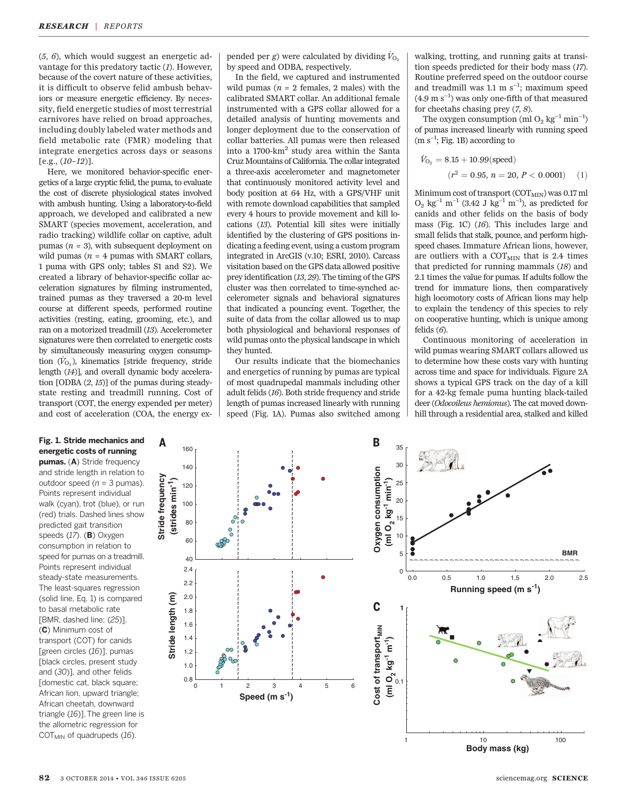$(5, 6)$ , which would suggest an energetic advantage for this predatory tactic (1). However, because of the covert nature of these activities, it is difficult to observe felid ambush behaviors or measure energetic efficiency. By necessity, field energetic studies of most terrestrial carnivores have relied on broad approaches, including doubly labeled water methods and field metabolic rate (FMR) modeling that integrate energetics across days or seasons [e.g., (10–12)].

Here, we monitored behavior-specific energetics of a large cryptic felid, the puma, to evaluate the cost of discrete physiological states involved with ambush hunting. Using a laboratory-to-field approach, we developed and calibrated a new SMART (species movement, acceleration, and radio tracking) wildlife collar on captive, adult pumas ( $n = 3$ ), with subsequent deployment on wild pumas ( $n = 4$  pumas with SMART collars, 1 puma with GPS only; tables S1 and S2). We created a library of behavior-specific collar acceleration signatures by filming instrumented, trained pumas as they traversed a 20-m level course at different speeds, performed routine activities (resting, eating, grooming, etc.), and ran on a motorized treadmill (13). Accelerometer signatures were then correlated to energetic costs by simultaneously measuring oxygen consumption  $(\dot{V}_{\Omega_0})$ , kinematics [stride frequency, stride length (14)], and overall dynamic body acceleration [ODBA (2, 15)] of the pumas during steadystate resting and treadmill running. Cost of transport (COT, the energy expended per meter) and cost of acceleration (COA, the energy ex-

**Stride frequency**

Stride frequency

Α

## Fig. 1. Stride mechanics and energetic costs of running

pumas. (A) Stride frequency and stride length in relation to outdoor speed ( $n = 3$  pumas). Points represent individual walk (cyan), trot (blue), or run (red) trials. Dashed lines show predicted gait transition speeds  $(17)$ . (B) Oxygen consumption in relation to speed for pumas on a treadmill. Points represent individual steady-state measurements. The least-squares regression (solid line, Eq. 1) is compared to basal metabolic rate [BMR, dashed line; (25)]. (C) Minimum cost of transport (COT) for canids [green circles (16)], pumas [black circles, present study and (30)], and other felids [domestic cat, black square; African lion, upward triangle; African cheetah, downward triangle (16)]. The green line is the allometric regression for  $COT<sub>MIN</sub>$  of quadrupeds (16).

pended per g) were calculated by dividing  $V_{O_2}$ by speed and ODBA, respectively.

In the field, we captured and instrumented wild pumas ( $n = 2$  females, 2 males) with the calibrated SMART collar. An additional female instrumented with a GPS collar allowed for a detailed analysis of hunting movements and longer deployment due to the conservation of collar batteries. All pumas were then released into a 1700-km<sup>2</sup> study area within the Santa Cruz Mountains of California. The collar integrated a three-axis accelerometer and magnetometer that continuously monitored activity level and body position at 64 Hz, with a GPS/VHF unit with remote download capabilities that sampled every 4 hours to provide movement and kill locations (13). Potential kill sites were initially identified by the clustering of GPS positions indicating a feeding event, using a custom program integrated in ArcGIS (v.10; ESRI, 2010). Carcass visitation based on the GPS data allowed positive prey identification (13, 29). The timing of the GPS cluster was then correlated to time-synched accelerometer signals and behavioral signatures that indicated a pouncing event. Together, the suite of data from the collar allowed us to map both physiological and behavioral responses of wild pumas onto the physical landscape in which they hunted.

Our results indicate that the biomechanics and energetics of running by pumas are typical of most quadrupedal mammals including other adult felids (16). Both stride frequency and stride length of pumas increased linearly with running speed (Fig. 1A). Pumas also switched among

walking, trotting, and running gaits at transition speeds predicted for their body mass (17). Routine preferred speed on the outdoor course and treadmill was 1.1 m s−<sup>1</sup> ; maximum speed (4.9 m s−<sup>1</sup> ) was only one-fifth of that measured for cheetahs chasing prey (7, 8).

The oxygen consumption (ml O<sub>2</sub> kg<sup>-1</sup> min<sup>-1</sup>) of pumas increased linearly with running speed (m s−<sup>1</sup> ; Fig. 1B) according to

$$
\dot{V}_{\text{O}_2} = 8.15 + 10.99 \text{(speed)}
$$
\n
$$
(r^2 = 0.95, n = 20, P < 0.0001) \quad (1)
$$

Minimum cost of transport  $(COT<sub>MIN</sub>)$  was 0.17 ml  $O_2$  kg<sup>-1</sup> m<sup>-1</sup> (3.42 J kg<sup>-1</sup> m<sup>-1</sup>), as predicted for canids and other felids on the basis of body mass (Fig. 1C) (16). This includes large and small felids that stalk, pounce, and perform highspeed chases. Immature African lions, however, are outliers with a  $\rm{COT}_{MIN}$  that is 2.4 times that predicted for running mammals (18) and 2.1 times the value for pumas. If adults follow the trend for immature lions, then comparatively high locomotory costs of African lions may help to explain the tendency of this species to rely on cooperative hunting, which is unique among felids  $(6)$ .

Continuous monitoring of acceleration in wild pumas wearing SMART collars allowed us to determine how these costs vary with hunting across time and space for individuals. Figure 2A shows a typical GPS track on the day of a kill for a 42-kg female puma hunting black-tailed deer (Odocoileus hemionus). The cat moved downhill through a residential area, stalked and killed



**Body mass (kg)** 1 10 100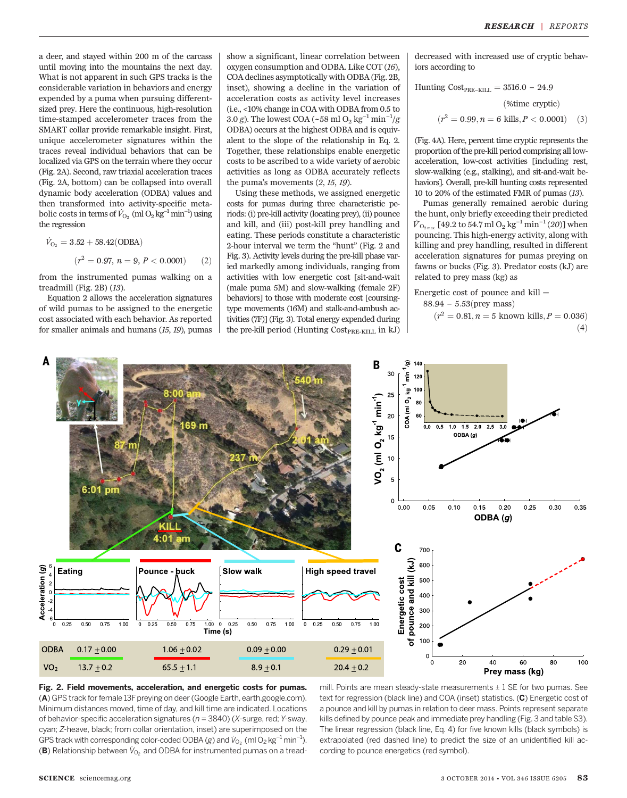a deer, and stayed within 200 m of the carcass until moving into the mountains the next day. What is not apparent in such GPS tracks is the considerable variation in behaviors and energy expended by a puma when pursuing differentsized prey. Here the continuous, high-resolution time-stamped accelerometer traces from the SMART collar provide remarkable insight. First, unique accelerometer signatures within the traces reveal individual behaviors that can be localized via GPS on the terrain where they occur (Fig. 2A). Second, raw triaxial acceleration traces (Fig. 2A, bottom) can be collapsed into overall dynamic body acceleration (ODBA) values and then transformed into activity-specific metabolic costs in terms of  $\dot{V}_{\mathrm{O}_2}$  (ml  $\mathrm{O}_2 \, \mathrm{kg}^{-1}$  min $^{-1}$ ) using the regression

$$
\dot{V}_{\text{O}_2} = 3.52 + 58.42(\text{ODBA})
$$
\n
$$
(r^2 = 0.97, n = 9, P < 0.0001) \tag{2}
$$

from the instrumented pumas walking on a treadmill (Fig.  $2B$ ) ( $13$ ).

Equation 2 allows the acceleration signatures of wild pumas to be assigned to the energetic cost associated with each behavior. As reported for smaller animals and humans (15, 19), pumas

show a significant, linear correlation between oxygen consumption and ODBA. Like COT (16), COA declines asymptotically with ODBA (Fig. 2B, inset), showing a decline in the variation of acceleration costs as activity level increases (i.e., <10% change in COA with ODBA from 0.5 to 3.0 g). The lowest COA (~58 ml O<sub>2</sub> kg<sup>-1</sup> min<sup>-1</sup>/g ODBA) occurs at the highest ODBA and is equivalent to the slope of the relationship in Eq. 2. Together, these relationships enable energetic costs to be ascribed to a wide variety of aerobic activities as long as ODBA accurately reflects the puma's movements (2, 15, 19).

Using these methods, we assigned energetic costs for pumas during three characteristic periods: (i) pre-kill activity (locating prey), (ii) pounce and kill, and (iii) post-kill prey handling and eating. These periods constitute a characteristic 2-hour interval we term the "hunt" (Fig. 2 and Fig. 3). Activity levels during the pre-kill phase varied markedly among individuals, ranging from activities with low energetic cost [sit-and-wait (male puma 5M) and slow-walking (female 2F) behaviors] to those with moderate cost [coursingtype movements (16M) and stalk-and-ambush activities (7F)] (Fig. 3). Total energy expended during the pre-kill period (Hunting  $Cost_{PRE-KILL}$  in kJ) decreased with increased use of cryptic behaviors according to

Hunting Cost<sub>PRE-KILL</sub> = 3516.0 - 24.9  
(%time cryptic)  

$$
(r^2 = 0.99, n = 6 \text{ kills}, P < 0.0001) \quad (3)
$$

(Fig. 4A). Here, percent time cryptic represents the proportion of the pre-kill period comprising all lowacceleration, low-cost activities [including rest, slow-walking (e.g., stalking), and sit-and-wait behaviors]. Overall, pre-kill hunting costs represented 10 to 20% of the estimated FMR of pumas (13).

Pumas generally remained aerobic during the hunt, only briefly exceeding their predicted  $\dot{V}_{\rm O_{2\,max}}$  [49.2 to 54.7 ml  $\rm O_2$  kg $^{-1}$  min $^{-1}$  (20)] when pouncing. This high-energy activity, along with killing and prey handling, resulted in different acceleration signatures for pumas preying on fawns or bucks (Fig. 3). Predator costs (kJ) are related to prey mass (kg) as

Energetic cost of pounce and  $k$ ill  $=$  $88.94 - 5.53$ (prey mass)

$$
(r^2 = 0.81, n = 5 \text{ known kills}, P = 0.036)
$$
\n<sup>(4)</sup>



Fig. 2. Field movements, acceleration, and energetic costs for pumas. (A) GPS track for female 13F preying on deer (Google Earth, earth.google.com). Minimum distances moved, time of day, and kill time are indicated. Locations of behavior-specific acceleration signatures ( $n = 3840$ ) (X-surge, red; Y-sway, cyan; Z-heave, black; from collar orientation, inset) are superimposed on the GPS track with corresponding color-coded ODBA (g) and  $V_{O_2}$  (ml O<sub>2</sub> kg<sup>-1</sup> min<sup>-1</sup>).<br>(**P**) Polationship between  $V_{O_2}$  and ODBA for instrumented pumps on a trood. (B) Relationship between  $\dot{V}_{O_2}$  and ODBA for instrumented pumas on a tread-

mill. Points are mean steady-state measurements  $\pm$  1 SE for two pumas. See text for regression (black line) and COA (inset) statistics. (C) Energetic cost of a pounce and kill by pumas in relation to deer mass. Points represent separate kills defined by pounce peak and immediate prey handling (Fig. 3 and table S3). The linear regression (black line, Eq. 4) for five known kills (black symbols) is extrapolated (red dashed line) to predict the size of an unidentified kill according to pounce energetics (red symbol).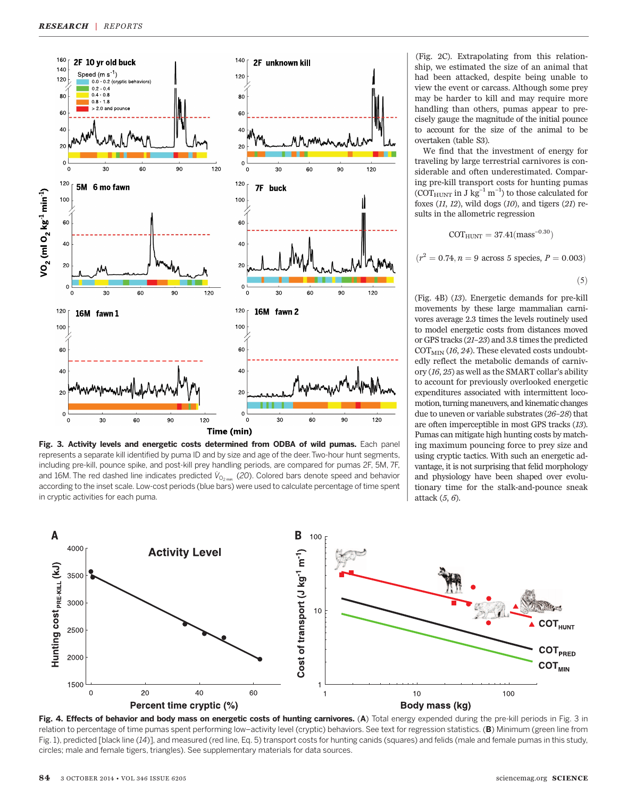

Fig. 3. Activity levels and energetic costs determined from ODBA of wild pumas. Each panel represents a separate kill identified by puma ID and by size and age of the deer.Two-hour hunt segments, including pre-kill, pounce spike, and post-kill prey handling periods, are compared for pumas 2F, 5M, 7F, and 16M. The red dashed line indicates predicted  $\dot{V}_{O_{2\,max}}$  (20). Colored bars denote speed and behavior according to the inset scale. Low-cost periods (blue bars) were used to calculate percentage of time spent in cryptic activities for each puma.

(Fig. 2C). Extrapolating from this relationship, we estimated the size of an animal that had been attacked, despite being unable to view the event or carcass. Although some prey may be harder to kill and may require more handling than others, pumas appear to precisely gauge the magnitude of the initial pounce to account for the size of the animal to be overtaken (table S3).

We find that the investment of energy for traveling by large terrestrial carnivores is considerable and often underestimated. Comparing pre-kill transport costs for hunting pumas (COT $_{\text{HUNT}}$  in J kg<sup>-1</sup> m<sup>-1</sup>) to those calculated for foxes  $(11, 12)$ , wild dogs  $(10)$ , and tigers  $(21)$  results in the allometric regression

$$
\rm{COT_{HUNT}}=37.41 \rm{(mass^{-0.30})}
$$

 $(r^2 = 0.74, n = 9$  across 5 species,  $P = 0.003$ 

$$
\left( 5\right)
$$

(Fig. 4B) (13). Energetic demands for pre-kill movements by these large mammalian carnivores average 2.3 times the levels routinely used to model energetic costs from distances moved or GPS tracks (21–23) and 3.8 times the predicted  $\text{COT}_{\text{MIN}}$  (16, 24). These elevated costs undoubtedly reflect the metabolic demands of carnivory (16, 25) as well as the SMART collar's ability to account for previously overlooked energetic expenditures associated with intermittent locomotion, turning maneuvers, and kinematic changes due to uneven or variable substrates (26–28) that are often imperceptible in most GPS tracks (13). Pumas can mitigate high hunting costs by matching maximum pouncing force to prey size and using cryptic tactics. With such an energetic advantage, it is not surprising that felid morphology and physiology have been shaped over evolutionary time for the stalk-and-pounce sneak attack (5, 6).



Fig. 4. Effects of behavior and body mass on energetic costs of hunting carnivores. (A) Total energy expended during the pre-kill periods in Fig. 3 in relation to percentage of time pumas spent performing low-activity level (cryptic) behaviors. See text for regression statistics. (B) Minimum (green line from Fig. 1), predicted [black line (14)], and measured (red line, Eq. 5) transport costs for hunting canids (squares) and felids (male and female pumas in this study, circles; male and female tigers, triangles). See supplementary materials for data sources.